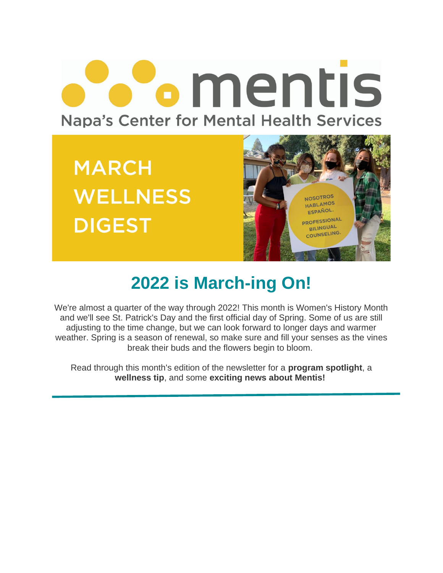# **Pomentis Napa's Center for Mental Health Services**

**MARCH WELLNESS DIGEST** 



## **2022 is March-ing On!**

We're almost a quarter of the way through 2022! This month is Women's History Month and we'll see St. Patrick's Day and the first official day of Spring. Some of us are still adjusting to the time change, but we can look forward to longer days and warmer weather. Spring is a season of renewal, so make sure and fill your senses as the vines break their buds and the flowers begin to bloom.

Read through this month's edition of the newsletter for a **program spotlight**, a **wellness tip**, and some **exciting news about Mentis!**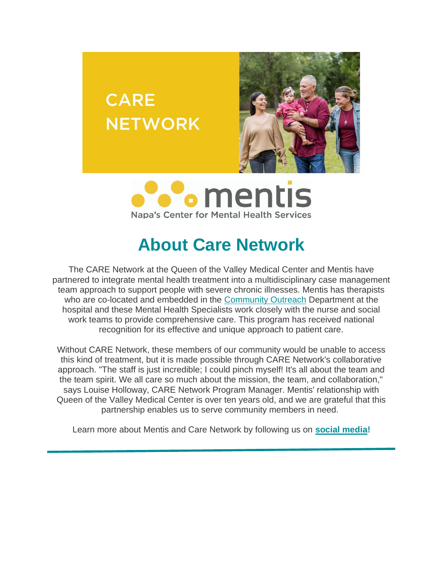



**CARE** 

**NETWORK** 

### **About Care Network**

The CARE Network at the Queen of the Valley Medical Center and Mentis have partnered to integrate mental health treatment into a multidisciplinary case management team approach to support people with severe chronic illnesses. Mentis has therapists who are co-located and embedded in the [Community Outreach](https://www.providence.org/locations/norcal/queen-of-the-valley) Department at the hospital and these Mental Health Specialists work closely with the nurse and social work teams to provide comprehensive care. This program has received national recognition for its effective and unique approach to patient care.

Without CARE Network, these members of our community would be unable to access this kind of treatment, but it is made possible through CARE Network's collaborative approach. "The staff is just incredible; I could pinch myself! It's all about the team and the team spirit. We all care so much about the mission, the team, and collaboration," says Louise Holloway, CARE Network Program Manager. Mentis' relationship with Queen of the Valley Medical Center is over ten years old, and we are grateful that this partnership enables us to serve community members in need.

Learn more about Mentis and Care Network by following us on **[social media!](https://www.instagram.com/mentisnapa/)**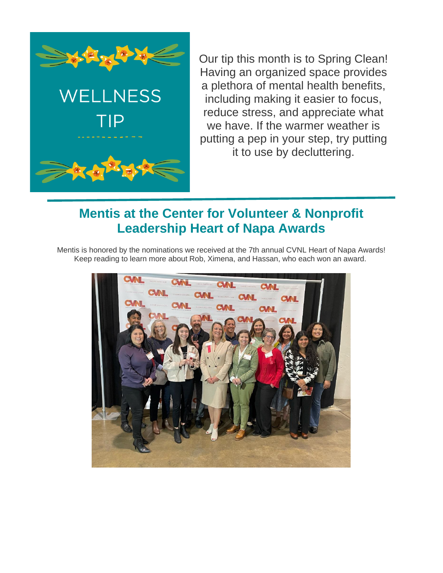

**WELLNESS** 

TIP

Our tip this month is to Spring Clean! Having an organized space provides a plethora of mental health benefits, including making it easier to focus, reduce stress, and appreciate what we have. If the warmer weather is putting a pep in your step, try putting it to use by decluttering.

#### **Mentis at the Center for Volunteer & Nonprofit Leadership Heart of Napa Awards**

Mentis is honored by the nominations we received at the 7th annual CVNL Heart of Napa Awards! Keep reading to learn more about Rob, Ximena, and Hassan, who each won an award.

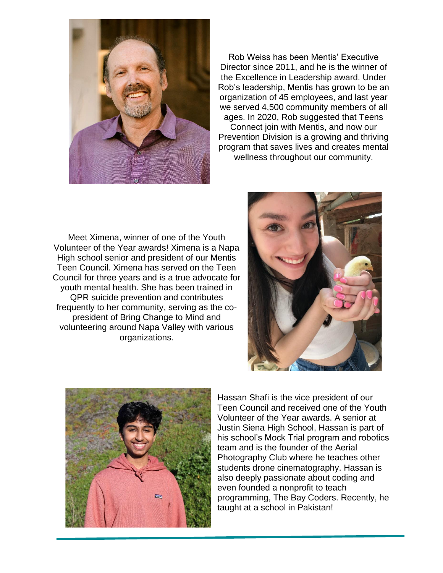

Rob Weiss has been Mentis' Executive Director since 2011, and he is the winner of the Excellence in Leadership award. Under Rob's leadership, Mentis has grown to be an organization of 45 employees, and last year we served 4,500 community members of all ages. In 2020, Rob suggested that Teens Connect join with Mentis, and now our Prevention Division is a growing and thriving program that saves lives and creates mental

wellness throughout our community.

Meet Ximena, winner of one of the Youth Volunteer of the Year awards! Ximena is a Napa High school senior and president of our Mentis Teen Council. Ximena has served on the Teen Council for three years and is a true advocate for youth mental health. She has been trained in QPR suicide prevention and contributes frequently to her community, serving as the copresident of Bring Change to Mind and volunteering around Napa Valley with various organizations.





Hassan Shafi is the vice president of our Teen Council and received one of the Youth Volunteer of the Year awards. A senior at Justin Siena High School, Hassan is part of his school's Mock Trial program and robotics team and is the founder of the Aerial Photography Club where he teaches other students drone cinematography. Hassan is also deeply passionate about coding and even founded a nonprofit to teach programming, The Bay Coders. Recently, he taught at a school in Pakistan!